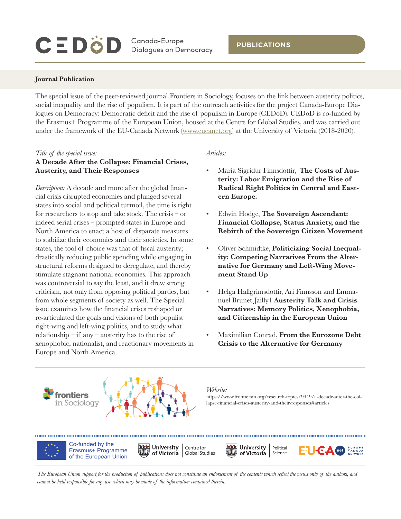# CEDÖD

Canada-Europe **Dialogues on Democracy** 

#### **Journal Publication**

The special issue of the peer-reviewed journal Frontiers in Sociology, focuses on the link between austerity politics, social inequality and the rise of populism. It is part of the outreach activities for the project Canada-Europe Dialogues on Democracy: Democratic deficit and the rise of populism in Europe (CEDoD). CEDoD is co-funded by the Erasmus+ Programme of the European Union, housed at the Centre for Global Studies, and was carried out under the framework of the EU-Canada Network ([www.eucanet.org](http://www.eucanet.org)) at the University of Victoria (2018-2020).

#### *Title of the special issue:*

### **A Decade After the Collapse: Financial Crises, Austerity, and Their Responses**

*Description:* A decade and more after the global financial crisis disrupted economies and plunged several states into social and political turmoil, the time is right for researchers to stop and take stock. The crisis – or indeed serial crises – prompted states in Europe and North America to enact a host of disparate measures to stabilize their economies and their societies. In some states, the tool of choice was that of fiscal austerity; drastically reducing public spending while engaging in structural reforms designed to deregulate, and thereby stimulate stagnant national economies. This approach was controversial to say the least, and it drew strong criticism, not only from opposing political parties, but from whole segments of society as well. The Special issue examines how the financial crises reshaped or re-articulated the goals and visions of both populist right-wing and left-wing politics, and to study what relationship – if any – austerity has to the rise of xenophobic, nationalist, and reactionary movements in Europe and North America.

#### *Articles:*

- Maria Sigridur Finnsdottir, **The Costs of Austerity: Labor Emigration and the Rise of Radical Right Politics in Central and Eastern Europe.**
- Edwin Hodge, **The Sovereign Ascendant: Financial Collapse, Status Anxiety, and the Rebirth of the Sovereign Citizen Movement**
- Oliver Schmidtke, **Politicizing Social Inequality: Competing Narratives From the Alternative for Germany and Left-Wing Movement Stand Up**
- Helga Hallgrimsdottir, [Ari Finnsson](https://www.frontiersin.org/people/u/693071) [and Emma](https://www.frontiersin.org/people/u/921170)[nuel Brunet-Jailly](https://www.frontiersin.org/people/u/921170)1 **Austerity Talk and Crisis Narratives: Memory Politics, Xenophobia, and Citizenship in the European Union**
- Maximilian Conrad, **From the Eurozone Debt Crisis to the Alternative for Germany**



Co-funded by the Erasmus+ Programme of the European Union

[https://www.frontiersin.org/research-topics/9449/a-decade-after-the-col](https://www.frontiersin.org/research-topics/9449/a-decade-after-the-collapse-financial-crises-austerity-and-their-responses#articles
)[lapse-financial-crises-austerity-and-their-responses#articles](https://www.frontiersin.org/research-topics/9449/a-decade-after-the-collapse-financial-crises-austerity-and-their-responses#articles
)

Science

**CANADA** 

University | Political

of Victoria |

*The European Union support for the production of publications does not constitute an endorsement of the contents which reflect the views only of the authors, and cannot be held responsible for any use which may be made of the information contained therein.*

Centre for Global Studies

University |

of Victoria |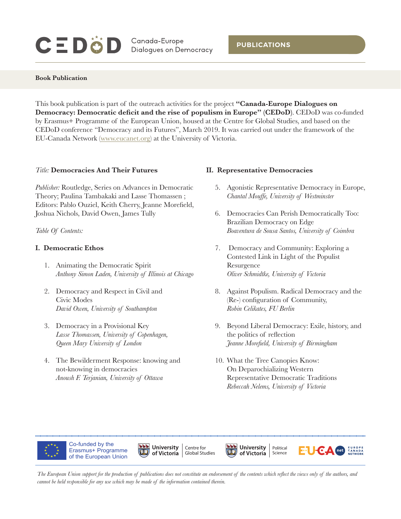# **CEDÖD**

Canada-Europe **Dialogues on Democracy** 

**Book Publication**

This book publication is part of the outreach activities for the project **"Canada-Europe Dialogues on Democracy: Democratic deficit and the rise of populism in Europe" (CEDoD)**. CEDoD was co-funded by Erasmus+ Programme of the European Union, housed at the Centre for Global Studies, and based on the CEDoD conference "Democracy and its Futures", March 2019. It was carried out under the framework of the EU-Canada Network ([www.eucanet.org](http://www.eucanet.org)) at the University of Victoria.

### *Title:* **Democracies And Their Futures**

*Publisher:* Routledge, Series on Advances in Democratic Theory; Paulina Tambakaki and Lasse Thomassen ; Editors: Pablo Ouziel, Keith Cherry, Jeanne Morefield, Joshua Nichols, David Owen, James Tully

*Table Of Contents:*

### **I. Democratic Ethos**

- 1. Animating the Democratic Spirit *Anthony Simon Laden, University of Illinois at Chicago*
- 2. Democracy and Respect in Civil and Civic Modes *David Owen, University of Southampton*
- 3. Democracy in a Provisional Key *Lasse Thomassen, University of Copenhagen, Queen Mary University of London*
- 4. The Bewilderment Response: knowing and not-knowing in democracies *Anoush F. Terjanian, University of Ottawa*

### **II. Representative Democracies**

- 5. Agonistic Representative Democracy in Europe, *Chantal Mouffe, University of Westminster*
- 6. Democracies Can Perish Democratically Too: Brazilian Democracy on Edge *Boaventura de Sousa Santos, University of Coimbra*
- 7. Democracy and Community: Exploring a Contested Link in Light of the Populist Resurgence *Oliver Schmidtke, University of Victoria*
- 8. Against Populism. Radical Democracy and the (Re-) configuration of Community, *Robin Celikates, FU Berlin*
- 9. Beyond Liberal Democracy: Exile, history, and the politics of reflection *Jeanne Morefield, University of Birmingham*
- 10. What the Tree Canopies Know: On Deparochializing Western Representative Democratic Traditions *Rebeccah Nelems, University of Victoria*



Co-funded by the Erasmus+ Programme of the European Union Centre for Global Studies





*The European Union support for the production of publications does not constitute an endorsement of the contents which reflect the views only of the authors, and cannot be held responsible for any use which may be made of the information contained therein.*